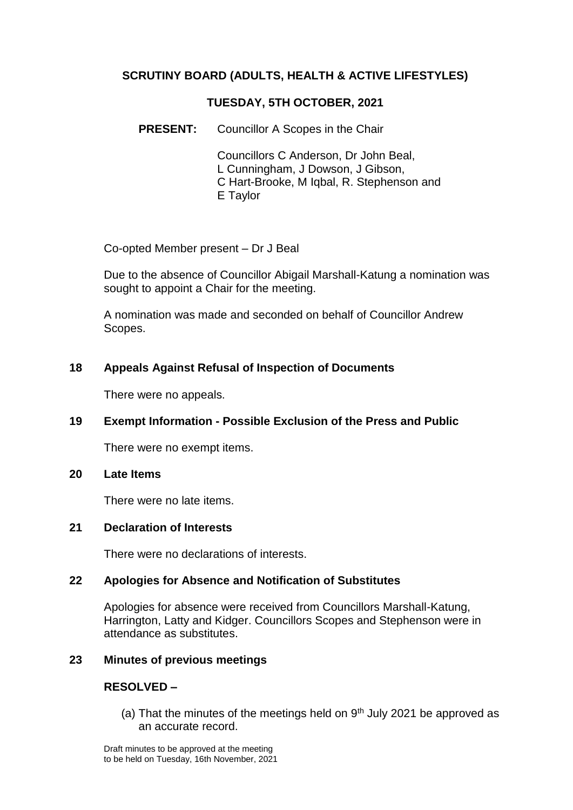# **SCRUTINY BOARD (ADULTS, HEALTH & ACTIVE LIFESTYLES)**

### **TUESDAY, 5TH OCTOBER, 2021**

**PRESENT:** Councillor A Scopes in the Chair

Councillors C Anderson, Dr John Beal, L Cunningham, J Dowson, J Gibson, C Hart-Brooke, M Iqbal, R. Stephenson and E Taylor

Co-opted Member present – Dr J Beal

Due to the absence of Councillor Abigail Marshall-Katung a nomination was sought to appoint a Chair for the meeting.

A nomination was made and seconded on behalf of Councillor Andrew Scopes.

## **18 Appeals Against Refusal of Inspection of Documents**

There were no appeals.

## **19 Exempt Information - Possible Exclusion of the Press and Public**

There were no exempt items.

### **20 Late Items**

There were no late items.

### **21 Declaration of Interests**

There were no declarations of interests.

### **22 Apologies for Absence and Notification of Substitutes**

Apologies for absence were received from Councillors Marshall-Katung, Harrington, Latty and Kidger. Councillors Scopes and Stephenson were in attendance as substitutes.

### **23 Minutes of previous meetings**

### **RESOLVED –**

(a) That the minutes of the meetings held on  $9<sup>th</sup>$  July 2021 be approved as an accurate record.

Draft minutes to be approved at the meeting to be held on Tuesday, 16th November, 2021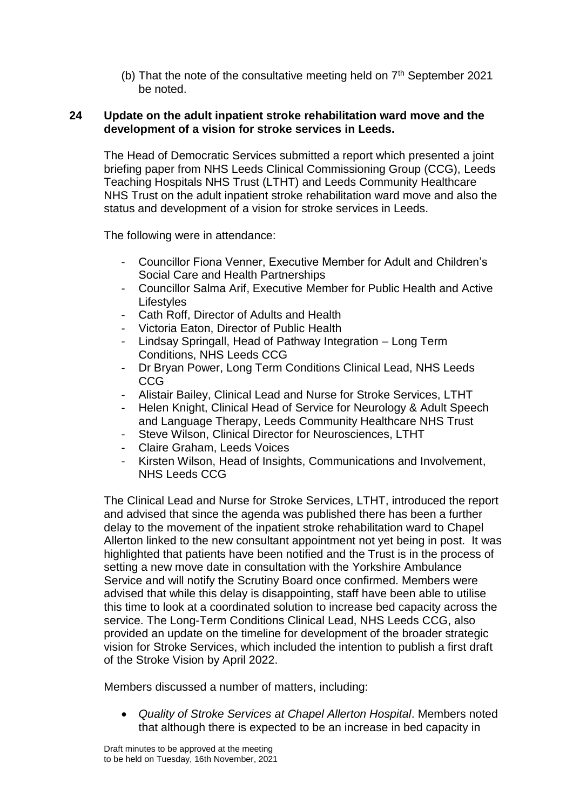(b) That the note of the consultative meeting held on  $7<sup>th</sup>$  September 2021 be noted.

### **24 Update on the adult inpatient stroke rehabilitation ward move and the development of a vision for stroke services in Leeds.**

The Head of Democratic Services submitted a report which presented a joint briefing paper from NHS Leeds Clinical Commissioning Group (CCG), Leeds Teaching Hospitals NHS Trust (LTHT) and Leeds Community Healthcare NHS Trust on the adult inpatient stroke rehabilitation ward move and also the status and development of a vision for stroke services in Leeds.

The following were in attendance:

- Councillor Fiona Venner. Executive Member for Adult and Children's Social Care and Health Partnerships
- Councillor Salma Arif, Executive Member for Public Health and Active **Lifestyles**
- Cath Roff, Director of Adults and Health
- Victoria Eaton, Director of Public Health
- Lindsay Springall, Head of Pathway Integration Long Term Conditions, NHS Leeds CCG
- Dr Bryan Power, Long Term Conditions Clinical Lead, NHS Leeds CCG
- Alistair Bailey, Clinical Lead and Nurse for Stroke Services, LTHT
- Helen Knight, Clinical Head of Service for Neurology & Adult Speech and Language Therapy, Leeds Community Healthcare NHS Trust
- Steve Wilson, Clinical Director for Neurosciences, LTHT
- Claire Graham, Leeds Voices
- Kirsten Wilson, Head of Insights, Communications and Involvement, NHS Leeds CCG

The Clinical Lead and Nurse for Stroke Services, LTHT, introduced the report and advised that since the agenda was published there has been a further delay to the movement of the inpatient stroke rehabilitation ward to Chapel Allerton linked to the new consultant appointment not yet being in post. It was highlighted that patients have been notified and the Trust is in the process of setting a new move date in consultation with the Yorkshire Ambulance Service and will notify the Scrutiny Board once confirmed. Members were advised that while this delay is disappointing, staff have been able to utilise this time to look at a coordinated solution to increase bed capacity across the service. The Long-Term Conditions Clinical Lead, NHS Leeds CCG, also provided an update on the timeline for development of the broader strategic vision for Stroke Services, which included the intention to publish a first draft of the Stroke Vision by April 2022.

Members discussed a number of matters, including:

 *Quality of Stroke Services at Chapel Allerton Hospital*. Members noted that although there is expected to be an increase in bed capacity in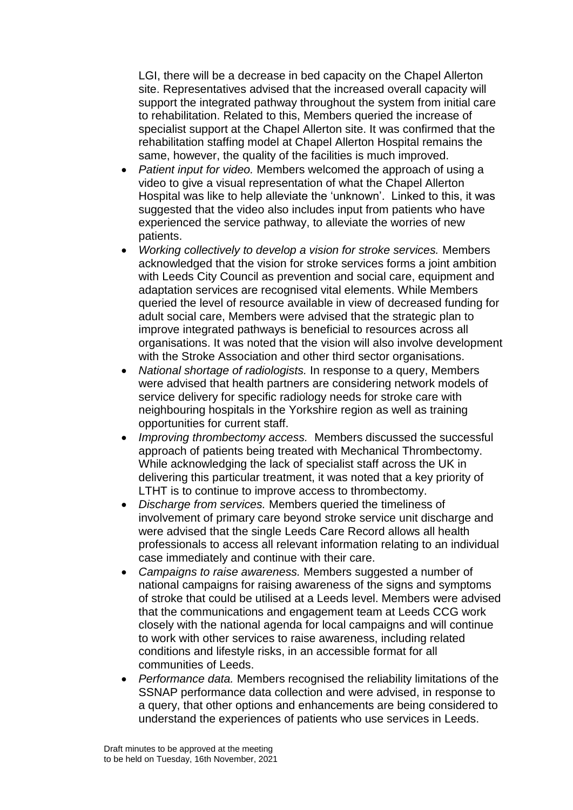LGI, there will be a decrease in bed capacity on the Chapel Allerton site. Representatives advised that the increased overall capacity will support the integrated pathway throughout the system from initial care to rehabilitation. Related to this, Members queried the increase of specialist support at the Chapel Allerton site. It was confirmed that the rehabilitation staffing model at Chapel Allerton Hospital remains the same, however, the quality of the facilities is much improved.

- *Patient input for video.* Members welcomed the approach of using a video to give a visual representation of what the Chapel Allerton Hospital was like to help alleviate the 'unknown'. Linked to this, it was suggested that the video also includes input from patients who have experienced the service pathway, to alleviate the worries of new patients.
- *Working collectively to develop a vision for stroke services.* Members acknowledged that the vision for stroke services forms a joint ambition with Leeds City Council as prevention and social care, equipment and adaptation services are recognised vital elements. While Members queried the level of resource available in view of decreased funding for adult social care, Members were advised that the strategic plan to improve integrated pathways is beneficial to resources across all organisations. It was noted that the vision will also involve development with the Stroke Association and other third sector organisations.
- *National shortage of radiologists.* In response to a query, Members were advised that health partners are considering network models of service delivery for specific radiology needs for stroke care with neighbouring hospitals in the Yorkshire region as well as training opportunities for current staff.
- *Improving thrombectomy access.* Members discussed the successful approach of patients being treated with Mechanical Thrombectomy. While acknowledging the lack of specialist staff across the UK in delivering this particular treatment, it was noted that a key priority of LTHT is to continue to improve access to thrombectomy.
- *Discharge from services.* Members queried the timeliness of involvement of primary care beyond stroke service unit discharge and were advised that the single Leeds Care Record allows all health professionals to access all relevant information relating to an individual case immediately and continue with their care.
- *Campaigns to raise awareness.* Members suggested a number of national campaigns for raising awareness of the signs and symptoms of stroke that could be utilised at a Leeds level. Members were advised that the communications and engagement team at Leeds CCG work closely with the national agenda for local campaigns and will continue to work with other services to raise awareness, including related conditions and lifestyle risks, in an accessible format for all communities of Leeds.
- *Performance data.* Members recognised the reliability limitations of the SSNAP performance data collection and were advised, in response to a query, that other options and enhancements are being considered to understand the experiences of patients who use services in Leeds.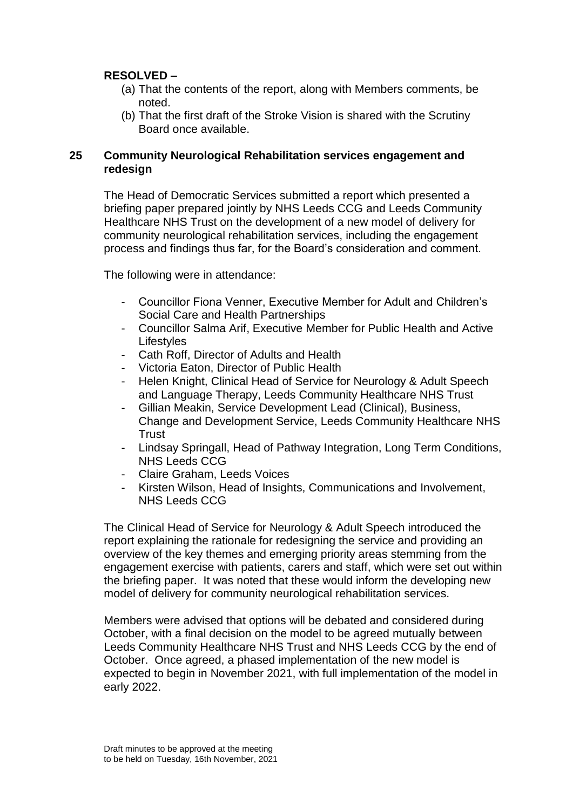# **RESOLVED –**

- (a) That the contents of the report, along with Members comments, be noted.
- (b) That the first draft of the Stroke Vision is shared with the Scrutiny Board once available.

## **25 Community Neurological Rehabilitation services engagement and redesign**

The Head of Democratic Services submitted a report which presented a briefing paper prepared jointly by NHS Leeds CCG and Leeds Community Healthcare NHS Trust on the development of a new model of delivery for community neurological rehabilitation services, including the engagement process and findings thus far, for the Board's consideration and comment.

The following were in attendance:

- Councillor Fiona Venner, Executive Member for Adult and Children's Social Care and Health Partnerships
- Councillor Salma Arif, Executive Member for Public Health and Active Lifestyles
- Cath Roff, Director of Adults and Health
- Victoria Eaton, Director of Public Health
- Helen Knight, Clinical Head of Service for Neurology & Adult Speech and Language Therapy, Leeds Community Healthcare NHS Trust
- Gillian Meakin, Service Development Lead (Clinical), Business, Change and Development Service, Leeds Community Healthcare NHS **Trust**
- Lindsay Springall, Head of Pathway Integration, Long Term Conditions, NHS Leeds CCG
- Claire Graham, Leeds Voices
- Kirsten Wilson, Head of Insights, Communications and Involvement, NHS Leeds CCG

The Clinical Head of Service for Neurology & Adult Speech introduced the report explaining the rationale for redesigning the service and providing an overview of the key themes and emerging priority areas stemming from the engagement exercise with patients, carers and staff, which were set out within the briefing paper. It was noted that these would inform the developing new model of delivery for community neurological rehabilitation services.

Members were advised that options will be debated and considered during October, with a final decision on the model to be agreed mutually between Leeds Community Healthcare NHS Trust and NHS Leeds CCG by the end of October. Once agreed, a phased implementation of the new model is expected to begin in November 2021, with full implementation of the model in early 2022.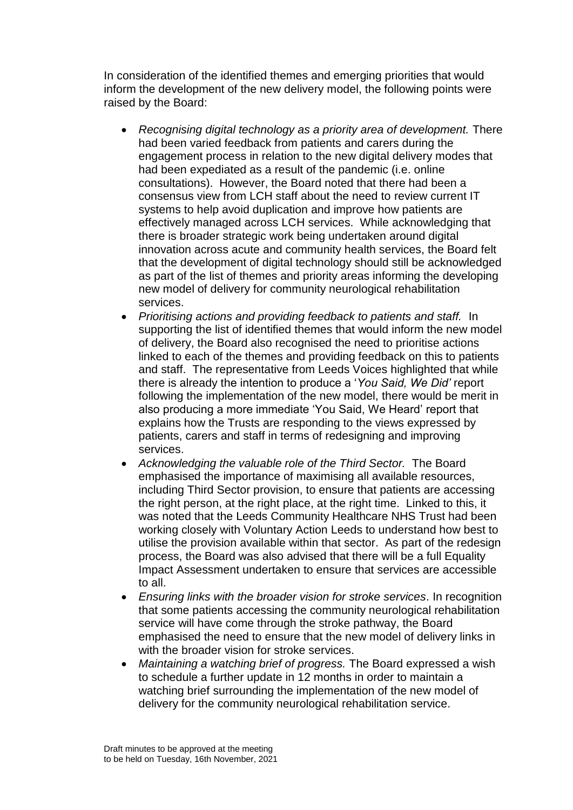In consideration of the identified themes and emerging priorities that would inform the development of the new delivery model, the following points were raised by the Board:

- *Recognising digital technology as a priority area of development.* There had been varied feedback from patients and carers during the engagement process in relation to the new digital delivery modes that had been expediated as a result of the pandemic (i.e. online consultations). However, the Board noted that there had been a consensus view from LCH staff about the need to review current IT systems to help avoid duplication and improve how patients are effectively managed across LCH services. While acknowledging that there is broader strategic work being undertaken around digital innovation across acute and community health services, the Board felt that the development of digital technology should still be acknowledged as part of the list of themes and priority areas informing the developing new model of delivery for community neurological rehabilitation services.
- *Prioritising actions and providing feedback to patients and staff.* In supporting the list of identified themes that would inform the new model of delivery, the Board also recognised the need to prioritise actions linked to each of the themes and providing feedback on this to patients and staff. The representative from Leeds Voices highlighted that while there is already the intention to produce a '*You Said, We Did'* report following the implementation of the new model, there would be merit in also producing a more immediate 'You Said, We Heard' report that explains how the Trusts are responding to the views expressed by patients, carers and staff in terms of redesigning and improving services.
- *Acknowledging the valuable role of the Third Sector.* The Board emphasised the importance of maximising all available resources, including Third Sector provision, to ensure that patients are accessing the right person, at the right place, at the right time. Linked to this, it was noted that the Leeds Community Healthcare NHS Trust had been working closely with Voluntary Action Leeds to understand how best to utilise the provision available within that sector. As part of the redesign process, the Board was also advised that there will be a full Equality Impact Assessment undertaken to ensure that services are accessible to all.
- *Ensuring links with the broader vision for stroke services*. In recognition that some patients accessing the community neurological rehabilitation service will have come through the stroke pathway, the Board emphasised the need to ensure that the new model of delivery links in with the broader vision for stroke services.
- *Maintaining a watching brief of progress.* The Board expressed a wish to schedule a further update in 12 months in order to maintain a watching brief surrounding the implementation of the new model of delivery for the community neurological rehabilitation service.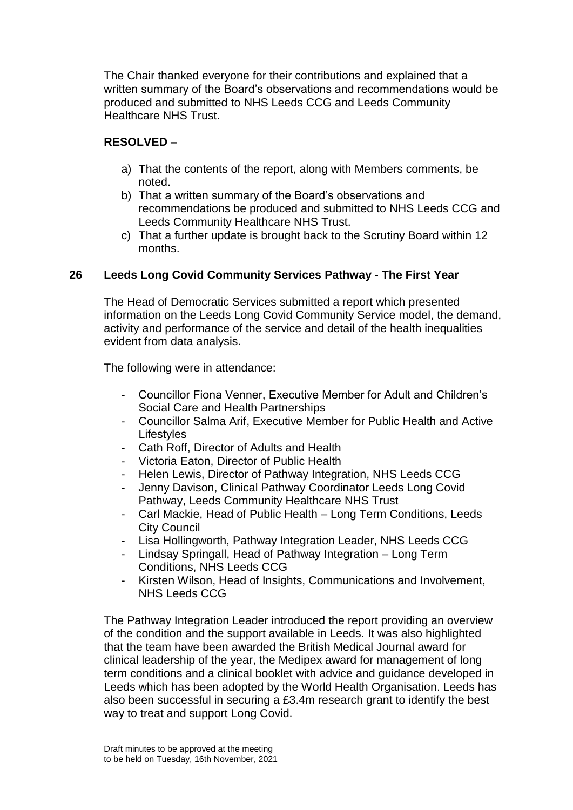The Chair thanked everyone for their contributions and explained that a written summary of the Board's observations and recommendations would be produced and submitted to NHS Leeds CCG and Leeds Community Healthcare NHS Trust.

# **RESOLVED –**

- a) That the contents of the report, along with Members comments, be noted.
- b) That a written summary of the Board's observations and recommendations be produced and submitted to NHS Leeds CCG and Leeds Community Healthcare NHS Trust.
- c) That a further update is brought back to the Scrutiny Board within 12 months.

# **26 Leeds Long Covid Community Services Pathway - The First Year**

The Head of Democratic Services submitted a report which presented information on the Leeds Long Covid Community Service model, the demand, activity and performance of the service and detail of the health inequalities evident from data analysis.

The following were in attendance:

- Councillor Fiona Venner, Executive Member for Adult and Children's Social Care and Health Partnerships
- Councillor Salma Arif, Executive Member for Public Health and Active **Lifestyles**
- Cath Roff, Director of Adults and Health
- Victoria Eaton, Director of Public Health
- Helen Lewis, Director of Pathway Integration, NHS Leeds CCG
- Jenny Davison, Clinical Pathway Coordinator Leeds Long Covid Pathway, Leeds Community Healthcare NHS Trust
- Carl Mackie, Head of Public Health Long Term Conditions, Leeds City Council
- Lisa Hollingworth, Pathway Integration Leader, NHS Leeds CCG
- Lindsay Springall, Head of Pathway Integration Long Term Conditions, NHS Leeds CCG
- Kirsten Wilson, Head of Insights, Communications and Involvement, NHS Leeds CCG

The Pathway Integration Leader introduced the report providing an overview of the condition and the support available in Leeds. It was also highlighted that the team have been awarded the British Medical Journal award for clinical leadership of the year, the Medipex award for management of long term conditions and a clinical booklet with advice and guidance developed in Leeds which has been adopted by the World Health Organisation. Leeds has also been successful in securing a £3.4m research grant to identify the best way to treat and support Long Covid.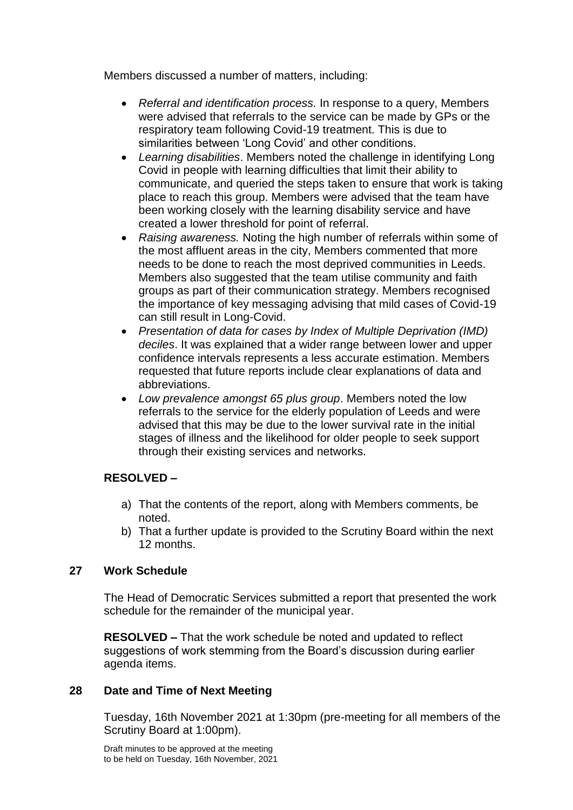Members discussed a number of matters, including:

- *Referral and identification process.* In response to a query, Members were advised that referrals to the service can be made by GPs or the respiratory team following Covid-19 treatment. This is due to similarities between 'Long Covid' and other conditions.
- *Learning disabilities*. Members noted the challenge in identifying Long Covid in people with learning difficulties that limit their ability to communicate, and queried the steps taken to ensure that work is taking place to reach this group. Members were advised that the team have been working closely with the learning disability service and have created a lower threshold for point of referral.
- *Raising awareness.* Noting the high number of referrals within some of the most affluent areas in the city, Members commented that more needs to be done to reach the most deprived communities in Leeds. Members also suggested that the team utilise community and faith groups as part of their communication strategy. Members recognised the importance of key messaging advising that mild cases of Covid-19 can still result in Long-Covid.
- *Presentation of data for cases by Index of Multiple Deprivation (IMD) deciles*. It was explained that a wider range between lower and upper confidence intervals represents a less accurate estimation. Members requested that future reports include clear explanations of data and abbreviations.
- *Low prevalence amongst 65 plus group*. Members noted the low referrals to the service for the elderly population of Leeds and were advised that this may be due to the lower survival rate in the initial stages of illness and the likelihood for older people to seek support through their existing services and networks.

# **RESOLVED –**

- a) That the contents of the report, along with Members comments, be noted.
- b) That a further update is provided to the Scrutiny Board within the next 12 months.

## **27 Work Schedule**

The Head of Democratic Services submitted a report that presented the work schedule for the remainder of the municipal year.

**RESOLVED –** That the work schedule be noted and updated to reflect suggestions of work stemming from the Board's discussion during earlier agenda items.

## **28 Date and Time of Next Meeting**

Tuesday, 16th November 2021 at 1:30pm (pre-meeting for all members of the Scrutiny Board at 1:00pm).

Draft minutes to be approved at the meeting to be held on Tuesday, 16th November, 2021